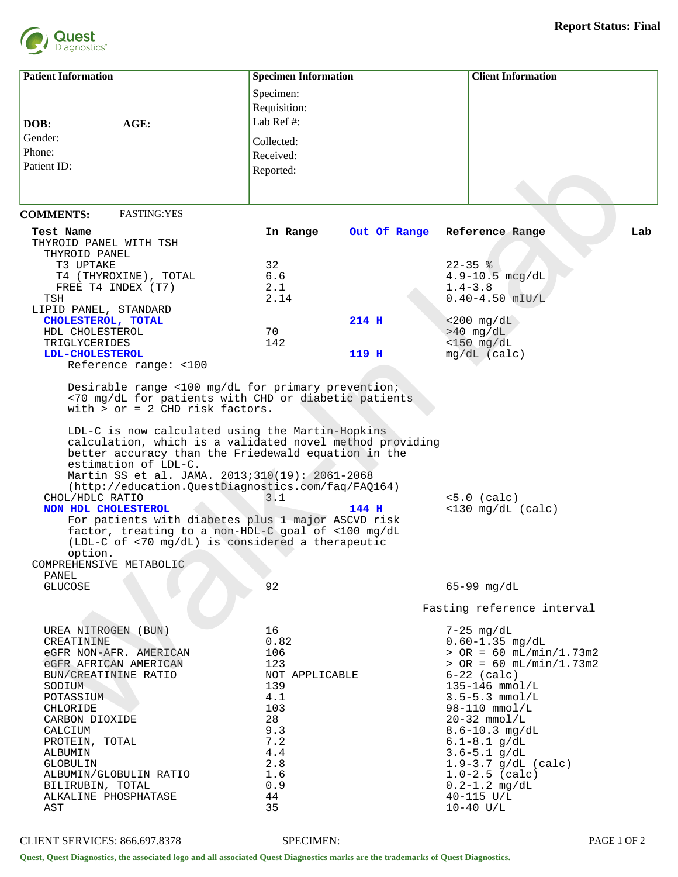

| <b>Patient Information</b>                                                                                                                                                                                                                                                                                                                                                                                                                                                                                                                                                                                                                                                                                                        | <b>Specimen Information</b>                                                                                     |              | <b>Client Information</b>                                                                                                                                                                                                                                                                                                             |     |
|-----------------------------------------------------------------------------------------------------------------------------------------------------------------------------------------------------------------------------------------------------------------------------------------------------------------------------------------------------------------------------------------------------------------------------------------------------------------------------------------------------------------------------------------------------------------------------------------------------------------------------------------------------------------------------------------------------------------------------------|-----------------------------------------------------------------------------------------------------------------|--------------|---------------------------------------------------------------------------------------------------------------------------------------------------------------------------------------------------------------------------------------------------------------------------------------------------------------------------------------|-----|
|                                                                                                                                                                                                                                                                                                                                                                                                                                                                                                                                                                                                                                                                                                                                   | Specimen:                                                                                                       |              |                                                                                                                                                                                                                                                                                                                                       |     |
|                                                                                                                                                                                                                                                                                                                                                                                                                                                                                                                                                                                                                                                                                                                                   |                                                                                                                 |              |                                                                                                                                                                                                                                                                                                                                       |     |
|                                                                                                                                                                                                                                                                                                                                                                                                                                                                                                                                                                                                                                                                                                                                   | Requisition:                                                                                                    |              |                                                                                                                                                                                                                                                                                                                                       |     |
| DOB:<br>AGE:                                                                                                                                                                                                                                                                                                                                                                                                                                                                                                                                                                                                                                                                                                                      | Lab Ref #:                                                                                                      |              |                                                                                                                                                                                                                                                                                                                                       |     |
| Gender:                                                                                                                                                                                                                                                                                                                                                                                                                                                                                                                                                                                                                                                                                                                           |                                                                                                                 |              |                                                                                                                                                                                                                                                                                                                                       |     |
| Phone:                                                                                                                                                                                                                                                                                                                                                                                                                                                                                                                                                                                                                                                                                                                            | Collected:                                                                                                      |              |                                                                                                                                                                                                                                                                                                                                       |     |
|                                                                                                                                                                                                                                                                                                                                                                                                                                                                                                                                                                                                                                                                                                                                   | Received:                                                                                                       |              |                                                                                                                                                                                                                                                                                                                                       |     |
| Patient ID:                                                                                                                                                                                                                                                                                                                                                                                                                                                                                                                                                                                                                                                                                                                       | Reported:                                                                                                       |              |                                                                                                                                                                                                                                                                                                                                       |     |
|                                                                                                                                                                                                                                                                                                                                                                                                                                                                                                                                                                                                                                                                                                                                   |                                                                                                                 |              |                                                                                                                                                                                                                                                                                                                                       |     |
|                                                                                                                                                                                                                                                                                                                                                                                                                                                                                                                                                                                                                                                                                                                                   |                                                                                                                 |              |                                                                                                                                                                                                                                                                                                                                       |     |
|                                                                                                                                                                                                                                                                                                                                                                                                                                                                                                                                                                                                                                                                                                                                   |                                                                                                                 |              |                                                                                                                                                                                                                                                                                                                                       |     |
| <b>FASTING: YES</b><br><b>COMMENTS:</b>                                                                                                                                                                                                                                                                                                                                                                                                                                                                                                                                                                                                                                                                                           |                                                                                                                 |              |                                                                                                                                                                                                                                                                                                                                       |     |
| Test Name                                                                                                                                                                                                                                                                                                                                                                                                                                                                                                                                                                                                                                                                                                                         | In Range                                                                                                        | Out Of Range | Reference Range                                                                                                                                                                                                                                                                                                                       | Lab |
| THYROID PANEL WITH TSH                                                                                                                                                                                                                                                                                                                                                                                                                                                                                                                                                                                                                                                                                                            |                                                                                                                 |              |                                                                                                                                                                                                                                                                                                                                       |     |
| THYROID PANEL                                                                                                                                                                                                                                                                                                                                                                                                                                                                                                                                                                                                                                                                                                                     |                                                                                                                 |              |                                                                                                                                                                                                                                                                                                                                       |     |
| T3 UPTAKE                                                                                                                                                                                                                                                                                                                                                                                                                                                                                                                                                                                                                                                                                                                         | 32                                                                                                              |              | $22 - 35$ %                                                                                                                                                                                                                                                                                                                           |     |
| T4 (THYROXINE), TOTAL                                                                                                                                                                                                                                                                                                                                                                                                                                                                                                                                                                                                                                                                                                             | 6.6                                                                                                             |              | $4.9 - 10.5$ mcg/dL                                                                                                                                                                                                                                                                                                                   |     |
| FREE T4 INDEX (T7)                                                                                                                                                                                                                                                                                                                                                                                                                                                                                                                                                                                                                                                                                                                | 2.1                                                                                                             |              | $1.4 - 3.8$                                                                                                                                                                                                                                                                                                                           |     |
| TSH                                                                                                                                                                                                                                                                                                                                                                                                                                                                                                                                                                                                                                                                                                                               | 2.14                                                                                                            |              | $0.40 - 4.50$ mIU/L                                                                                                                                                                                                                                                                                                                   |     |
| LIPID PANEL, STANDARD                                                                                                                                                                                                                                                                                                                                                                                                                                                                                                                                                                                                                                                                                                             |                                                                                                                 |              |                                                                                                                                                                                                                                                                                                                                       |     |
| CHOLESTEROL, TOTAL                                                                                                                                                                                                                                                                                                                                                                                                                                                                                                                                                                                                                                                                                                                |                                                                                                                 | 214 H        | $< 200$ mg/dL                                                                                                                                                                                                                                                                                                                         |     |
| HDL CHOLESTEROL                                                                                                                                                                                                                                                                                                                                                                                                                                                                                                                                                                                                                                                                                                                   | 70                                                                                                              |              | $>40$ mg/dL                                                                                                                                                                                                                                                                                                                           |     |
| TRIGLYCERIDES                                                                                                                                                                                                                                                                                                                                                                                                                                                                                                                                                                                                                                                                                                                     | 142                                                                                                             |              | $<$ 150 mg/dL                                                                                                                                                                                                                                                                                                                         |     |
| <b>LDL-CHOLESTEROL</b>                                                                                                                                                                                                                                                                                                                                                                                                                                                                                                                                                                                                                                                                                                            |                                                                                                                 | 119 H        | $mq/dL$ (calc)                                                                                                                                                                                                                                                                                                                        |     |
| Reference range: <100                                                                                                                                                                                                                                                                                                                                                                                                                                                                                                                                                                                                                                                                                                             |                                                                                                                 |              |                                                                                                                                                                                                                                                                                                                                       |     |
| Desirable range <100 mg/dL for primary prevention;<br><70 mg/dL for patients with CHD or diabetic patients<br>with $>$ or = 2 CHD risk factors.<br>LDL-C is now calculated using the Martin-Hopkins<br>calculation, which is a validated novel method providing<br>better accuracy than the Friedewald equation in the<br>estimation of LDL-C.<br>Martin SS et al. JAMA. 2013;310(19): 2061-2068<br>(http://education.QuestDiagnostics.com/faq/FAQ164)<br>CHOL/HDLC RATIO<br>NON HDL CHOLESTEROL<br>For patients with diabetes plus 1 major ASCVD risk<br>factor, treating to a non-HDL-C goal of <100 mg/dL<br>(LDL-C of <70 mg/dL) is considered a therapeutic<br>option.<br>COMPREHENSIVE METABOLIC<br>PANEL<br><b>GLUCOSE</b> | 3.1<br>92                                                                                                       | 144 H        | $<5.0$ (calc)<br>$<$ 130 mg/dL (calc)<br>$65 - 99$ mg/dL                                                                                                                                                                                                                                                                              |     |
|                                                                                                                                                                                                                                                                                                                                                                                                                                                                                                                                                                                                                                                                                                                                   |                                                                                                                 |              | Fasting reference interval                                                                                                                                                                                                                                                                                                            |     |
| UREA NITROGEN (BUN)<br>CREATININE<br>eGFR NON-AFR. AMERICAN<br>eGFR AFRICAN AMERICAN<br>BUN/CREATININE RATIO<br>SODIUM<br>POTASSIUM<br>CHLORIDE<br>CARBON DIOXIDE<br>CALCIUM<br>PROTEIN, TOTAL<br>ALBUMIN<br>GLOBULIN<br>ALBUMIN/GLOBULIN RATIO<br>BILIRUBIN, TOTAL                                                                                                                                                                                                                                                                                                                                                                                                                                                               | 16<br>0.82<br>106<br>123<br>NOT APPLICABLE<br>139<br>4.1<br>103<br>28<br>9.3<br>7.2<br>4.4<br>2.8<br>1.6<br>0.9 |              | $7-25$ mg/dL<br>$0.60 - 1.35$ mg/dL<br>$>$ OR = 60 mL/min/1.73m2<br>$>$ OR = 60 mL/min/1.73m2<br>$6-22$ (calc)<br>$135 - 146$ mmol/L<br>$3.5 - 5.3$ mmol/L<br>$98 - 110$ mmol/L<br>$20-32$ mmol/L<br>$8.6 - 10.3$ mg/dL<br>$6.1 - 8.1$ g/dL<br>$3.6 - 5.1$ g/dL<br>$1.9 - 3.7$ g/dL (calc)<br>$1.0 - 2.5$ (calc)<br>$0.2 - 1.2$ mg/dL |     |
| ALKALINE PHOSPHATASE<br>AST                                                                                                                                                                                                                                                                                                                                                                                                                                                                                                                                                                                                                                                                                                       | 44<br>35                                                                                                        |              | $40 - 115$ U/L<br>$10-40$ U/L                                                                                                                                                                                                                                                                                                         |     |

CLIENT SERVICES: 866.697.8378 SPECIMEN: